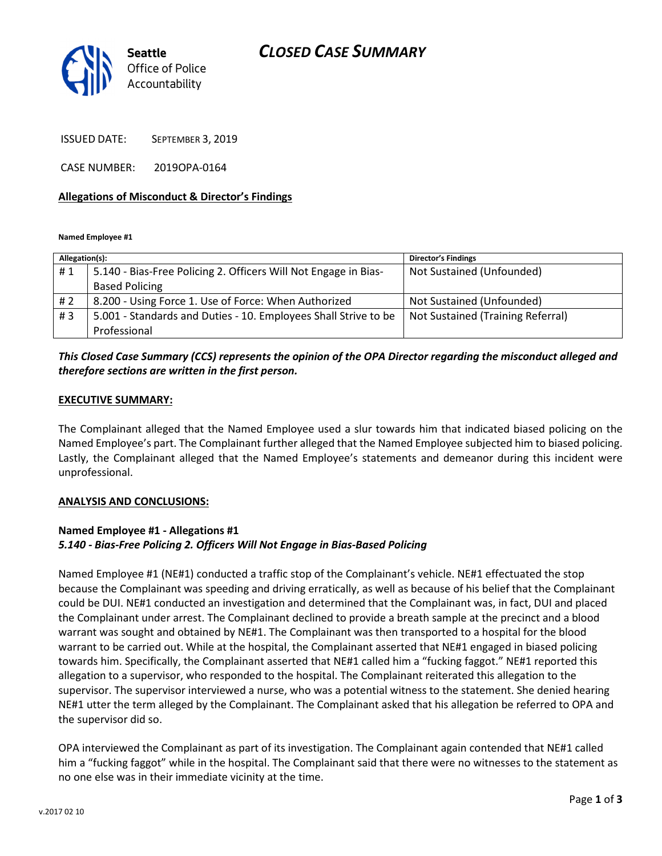# CLOSED CASE SUMMARY



ISSUED DATE: SEPTEMBER 3, 2019

CASE NUMBER: 2019OPA-0164

### Allegations of Misconduct & Director's Findings

Named Employee #1

| Allegation(s): |                                                                 | <b>Director's Findings</b>        |
|----------------|-----------------------------------------------------------------|-----------------------------------|
| #1             | 5.140 - Bias-Free Policing 2. Officers Will Not Engage in Bias- | Not Sustained (Unfounded)         |
|                | <b>Based Policing</b>                                           |                                   |
| # 2            | 8.200 - Using Force 1. Use of Force: When Authorized            | Not Sustained (Unfounded)         |
| #3             | 5.001 - Standards and Duties - 10. Employees Shall Strive to be | Not Sustained (Training Referral) |
|                | Professional                                                    |                                   |

## This Closed Case Summary (CCS) represents the opinion of the OPA Director regarding the misconduct alleged and therefore sections are written in the first person.

#### EXECUTIVE SUMMARY:

The Complainant alleged that the Named Employee used a slur towards him that indicated biased policing on the Named Employee's part. The Complainant further alleged that the Named Employee subjected him to biased policing. Lastly, the Complainant alleged that the Named Employee's statements and demeanor during this incident were unprofessional.

#### ANALYSIS AND CONCLUSIONS:

### Named Employee #1 - Allegations #1 5.140 - Bias-Free Policing 2. Officers Will Not Engage in Bias-Based Policing

Named Employee #1 (NE#1) conducted a traffic stop of the Complainant's vehicle. NE#1 effectuated the stop because the Complainant was speeding and driving erratically, as well as because of his belief that the Complainant could be DUI. NE#1 conducted an investigation and determined that the Complainant was, in fact, DUI and placed the Complainant under arrest. The Complainant declined to provide a breath sample at the precinct and a blood warrant was sought and obtained by NE#1. The Complainant was then transported to a hospital for the blood warrant to be carried out. While at the hospital, the Complainant asserted that NE#1 engaged in biased policing towards him. Specifically, the Complainant asserted that NE#1 called him a "fucking faggot." NE#1 reported this allegation to a supervisor, who responded to the hospital. The Complainant reiterated this allegation to the supervisor. The supervisor interviewed a nurse, who was a potential witness to the statement. She denied hearing NE#1 utter the term alleged by the Complainant. The Complainant asked that his allegation be referred to OPA and the supervisor did so.

OPA interviewed the Complainant as part of its investigation. The Complainant again contended that NE#1 called him a "fucking faggot" while in the hospital. The Complainant said that there were no witnesses to the statement as no one else was in their immediate vicinity at the time.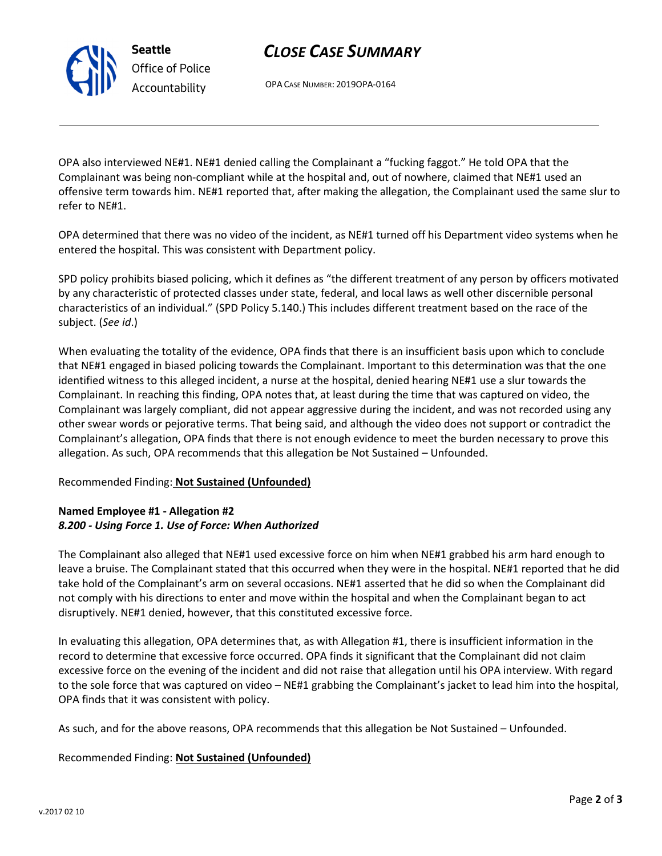# CLOSE CASE SUMMARY

OPA CASE NUMBER: 2019OPA-0164

OPA also interviewed NE#1. NE#1 denied calling the Complainant a "fucking faggot." He told OPA that the Complainant was being non-compliant while at the hospital and, out of nowhere, claimed that NE#1 used an offensive term towards him. NE#1 reported that, after making the allegation, the Complainant used the same slur to refer to NE#1.

OPA determined that there was no video of the incident, as NE#1 turned off his Department video systems when he entered the hospital. This was consistent with Department policy.

SPD policy prohibits biased policing, which it defines as "the different treatment of any person by officers motivated by any characteristic of protected classes under state, federal, and local laws as well other discernible personal characteristics of an individual." (SPD Policy 5.140.) This includes different treatment based on the race of the subject. (See id.)

When evaluating the totality of the evidence, OPA finds that there is an insufficient basis upon which to conclude that NE#1 engaged in biased policing towards the Complainant. Important to this determination was that the one identified witness to this alleged incident, a nurse at the hospital, denied hearing NE#1 use a slur towards the Complainant. In reaching this finding, OPA notes that, at least during the time that was captured on video, the Complainant was largely compliant, did not appear aggressive during the incident, and was not recorded using any other swear words or pejorative terms. That being said, and although the video does not support or contradict the Complainant's allegation, OPA finds that there is not enough evidence to meet the burden necessary to prove this allegation. As such, OPA recommends that this allegation be Not Sustained – Unfounded.

# Recommended Finding: Not Sustained (Unfounded)

# Named Employee #1 - Allegation #2 8.200 - Using Force 1. Use of Force: When Authorized

The Complainant also alleged that NE#1 used excessive force on him when NE#1 grabbed his arm hard enough to leave a bruise. The Complainant stated that this occurred when they were in the hospital. NE#1 reported that he did take hold of the Complainant's arm on several occasions. NE#1 asserted that he did so when the Complainant did not comply with his directions to enter and move within the hospital and when the Complainant began to act disruptively. NE#1 denied, however, that this constituted excessive force.

In evaluating this allegation, OPA determines that, as with Allegation #1, there is insufficient information in the record to determine that excessive force occurred. OPA finds it significant that the Complainant did not claim excessive force on the evening of the incident and did not raise that allegation until his OPA interview. With regard to the sole force that was captured on video – NE#1 grabbing the Complainant's jacket to lead him into the hospital, OPA finds that it was consistent with policy.

As such, and for the above reasons, OPA recommends that this allegation be Not Sustained – Unfounded.

# Recommended Finding: Not Sustained (Unfounded)



Seattle Office of Police Accountability